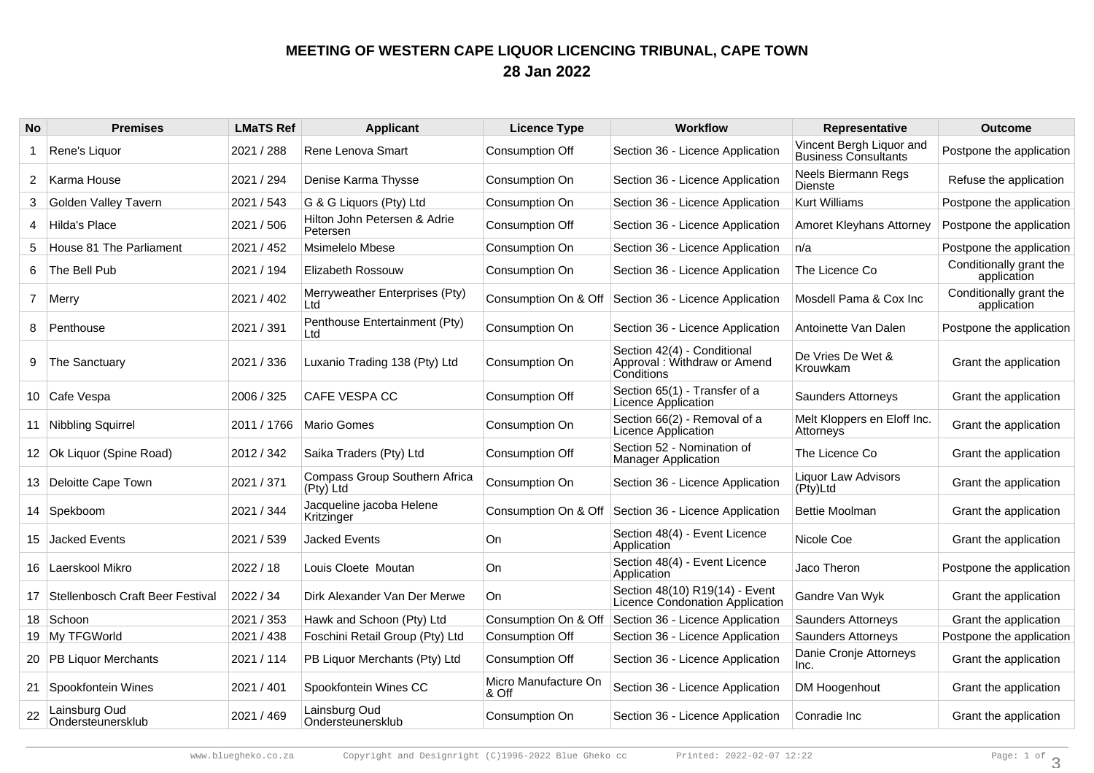## **MEETING OF WESTERN CAPE LIQUOR LICENCING TRIBUNAL, CAPE TOWN28 Jan 2022**

| <b>No</b>      | <b>Premises</b>                     | <b>LMaTS Ref</b> | <b>Applicant</b>                           | <b>Licence Type</b>           | <b>Workflow</b>                                                          | Representative                                          | <b>Outcome</b>                         |
|----------------|-------------------------------------|------------------|--------------------------------------------|-------------------------------|--------------------------------------------------------------------------|---------------------------------------------------------|----------------------------------------|
|                | Rene's Liquor                       | 2021 / 288       | Rene Lenova Smart                          | Consumption Off               | Section 36 - Licence Application                                         | Vincent Bergh Liquor and<br><b>Business Consultants</b> | Postpone the application               |
| $\overline{2}$ | Karma House                         | 2021 / 294       | Denise Karma Thysse                        | Consumption On                | Section 36 - Licence Application                                         | <b>Neels Biermann Regs</b><br>Dienste                   | Refuse the application                 |
| 3              | Golden Valley Tavern                | 2021 / 543       | G & G Liquors (Pty) Ltd                    | Consumption On                | Section 36 - Licence Application                                         | <b>Kurt Williams</b>                                    | Postpone the application               |
| 4              | Hilda's Place                       | 2021 / 506       | Hilton John Petersen & Adrie<br>Petersen   | Consumption Off               | Section 36 - Licence Application                                         | Amoret Kleyhans Attorney                                | Postpone the application               |
| 5              | House 81 The Parliament             | 2021 / 452       | Msimelelo Mbese                            | Consumption On                | Section 36 - Licence Application                                         | n/a                                                     | Postpone the application               |
| 6              | The Bell Pub                        | 2021 / 194       | Elizabeth Rossouw                          | Consumption On                | Section 36 - Licence Application                                         | The Licence Co                                          | Conditionally grant the<br>application |
| $\mathbf{7}$   | Merry                               | 2021 / 402       | Merryweather Enterprises (Pty)<br>Ltd      | Consumption On & Off          | Section 36 - Licence Application                                         | Mosdell Pama & Cox Inc                                  | Conditionally grant the<br>application |
| 8              | Penthouse                           | 2021 / 391       | Penthouse Entertainment (Pty)<br>Ltd       | Consumption On                | Section 36 - Licence Application                                         | Antoinette Van Dalen                                    | Postpone the application               |
| 9              | The Sanctuary                       | 2021 / 336       | Luxanio Trading 138 (Pty) Ltd              | Consumption On                | Section 42(4) - Conditional<br>Approval: Withdraw or Amend<br>Conditions | De Vries De Wet &<br>Krouwkam                           | Grant the application                  |
|                | 10 Cafe Vespa                       | 2006 / 325       | CAFE VESPA CC                              | Consumption Off               | Section 65(1) - Transfer of a<br>Licence Application                     | <b>Saunders Attorneys</b>                               | Grant the application                  |
|                | 11 Nibbling Squirrel                | 2011 / 1766      | Mario Gomes                                | Consumption On                | Section 66(2) - Removal of a<br>Licence Application                      | Melt Kloppers en Eloff Inc.<br>Attorneys                | Grant the application                  |
|                | 12   Ok Liquor (Spine Road)         | 2012 / 342       | Saika Traders (Pty) Ltd                    | Consumption Off               | Section 52 - Nomination of<br><b>Manager Application</b>                 | The Licence Co.                                         | Grant the application                  |
|                | 13 Deloitte Cape Town               | 2021 / 371       | Compass Group Southern Africa<br>(Pty) Ltd | Consumption On                | Section 36 - Licence Application                                         | Liquor Law Advisors<br>(Pty)Ltd                         | Grant the application                  |
|                | 14 Spekboom                         | 2021 / 344       | Jacqueline jacoba Helene<br>Kritzinger     | Consumption On & Off          | Section 36 - Licence Application                                         | <b>Bettie Moolman</b>                                   | Grant the application                  |
|                | 15 Jacked Events                    | 2021 / 539       | Jacked Events                              | On                            | Section 48(4) - Event Licence<br>Application                             | Nicole Coe                                              | Grant the application                  |
|                | 16   Laerskool Mikro                | 2022 / 18        | Louis Cloete Moutan                        | On                            | Section 48(4) - Event Licence<br>Application                             | Jaco Theron                                             | Postpone the application               |
|                | 17 Stellenbosch Craft Beer Festival | 2022 / 34        | Dirk Alexander Van Der Merwe               | On.                           | Section 48(10) R19(14) - Event<br><b>Licence Condonation Application</b> | Gandre Van Wyk                                          | Grant the application                  |
|                | 18 Schoon                           | 2021 / 353       | Hawk and Schoon (Pty) Ltd                  | Consumption On & Off          | Section 36 - Licence Application                                         | <b>Saunders Attorneys</b>                               | Grant the application                  |
|                | 19 My TFGWorld                      | 2021 / 438       | Foschini Retail Group (Pty) Ltd            | Consumption Off               | Section 36 - Licence Application                                         | <b>Saunders Attorneys</b>                               | Postpone the application               |
|                | 20   PB Liquor Merchants            | 2021 / 114       | PB Liquor Merchants (Pty) Ltd              | Consumption Off               | Section 36 - Licence Application                                         | Danie Cronje Attorneys<br>Inc.                          | Grant the application                  |
|                | 21 Spookfontein Wines               | 2021 / 401       | Spookfontein Wines CC                      | Micro Manufacture On<br>& Off | Section 36 - Licence Application                                         | DM Hoogenhout                                           | Grant the application                  |
| 22             | Lainsburg Oud<br>Ondersteunersklub  | 2021 / 469       | Lainsburg Oud<br>Ondersteunersklub         | Consumption On                | Section 36 - Licence Application                                         | Conradie Inc                                            | Grant the application                  |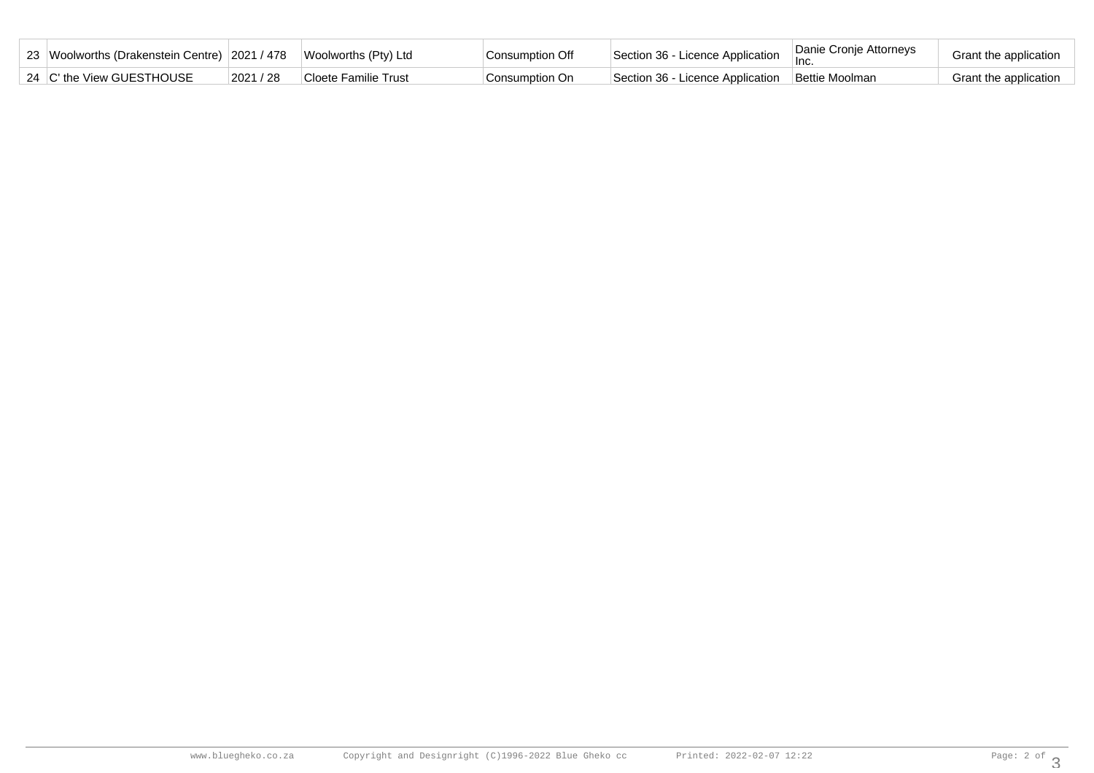| 23 Woolworths (Drakenstein Centre) 2021 / 478 Woolworths (Pty) Ltd |           |                      | Consumption Off | Section 36 - Licence Application | Danie Cronje Attorneys | Grant the application |
|--------------------------------------------------------------------|-----------|----------------------|-----------------|----------------------------------|------------------------|-----------------------|
| 24 C' the View GUESTHOUSE                                          | 2021 / 28 | Cloete Familie Trust | Consumption On  | Section 36 - Licence Application | Bettie Moolman         | Grant the application |